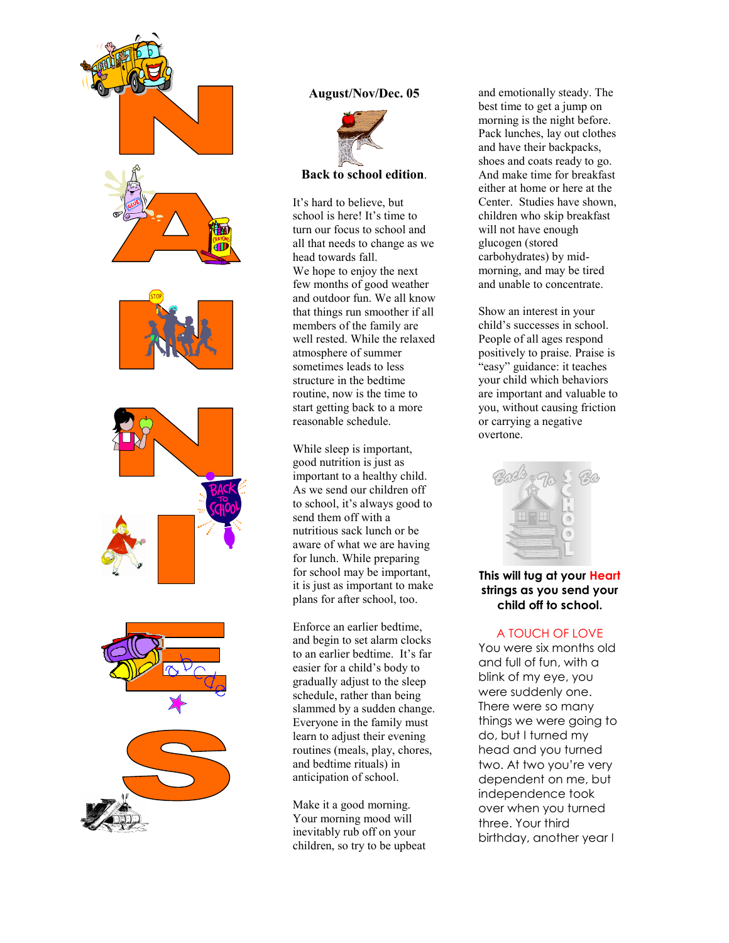

### August/Nov/Dec. 05



#### Back to school edition.

It's hard to believe, but school is here! It's time to turn our focus to school and all that needs to change as we head towards fall. We hope to enjoy the next few months of good weather and outdoor fun. We all know that things run smoother if all members of the family are well rested. While the relaxed atmosphere of summer sometimes leads to less structure in the bedtime routine, now is the time to start getting back to a more reasonable schedule.

While sleep is important, good nutrition is just as important to a healthy child. As we send our children off to school, it's always good to send them off with a nutritious sack lunch or be aware of what we are having for lunch. While preparing for school may be important, it is just as important to make plans for after school, too.

Enforce an earlier bedtime, and begin to set alarm clocks to an earlier bedtime. It's far easier for a child's body to gradually adjust to the sleep schedule, rather than being slammed by a sudden change. Everyone in the family must learn to adjust their evening routines (meals, play, chores, and bedtime rituals) in anticipation of school.

Make it a good morning. Your morning mood will inevitably rub off on your children, so try to be upbeat

and emotionally steady. The best time to get a jump on morning is the night before. Pack lunches, lay out clothes and have their backpacks, shoes and coats ready to go. And make time for breakfast either at home or here at the Center. Studies have shown, children who skip breakfast will not have enough glucogen (stored carbohydrates) by midmorning, and may be tired and unable to concentrate.

Show an interest in your child's successes in school. People of all ages respond positively to praise. Praise is "easy" guidance: it teaches your child which behaviors are important and valuable to you, without causing friction or carrying a negative overtone.



### This will tug at your Heart strings as you send your child off to school.

#### A TOUCH OF LOVE

You were six months old and full of fun, with a blink of my eye, you were suddenly one. There were so many things we were going to do, but I turned my head and you turned two. At two you're very dependent on me, but independence took over when you turned three. Your third birthday, another year I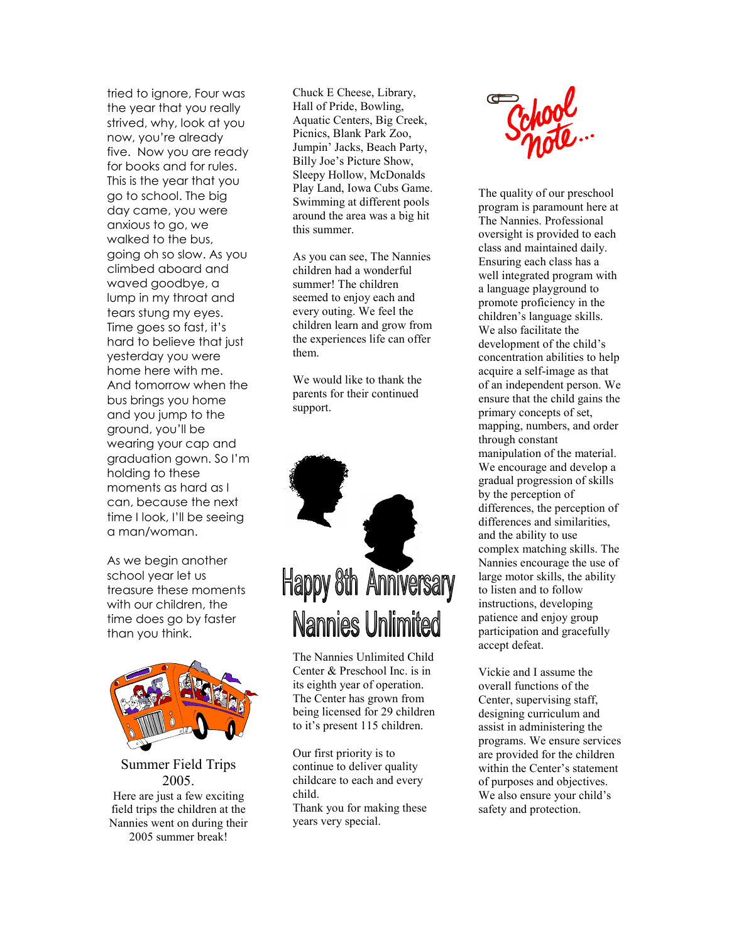tried to ignore, Four was the year that you really strived, why, look at you now, you're already five. Now you are ready for books and for rules. This is the year that you go to school. The big day came, you were anxious to go, we walked to the bus, going oh so slow. As you climbed aboard and waved goodbye, a lump in my throat and tears stung my eyes. Time goes so fast, it's hard to believe that just yesterday you were home here with me. And tomorrow when the bus brings you home and you jump to the ground, you'll be wearing your cap and graduation gown. So I'm holding to these moments as hard as I can, because the next time I look, I'll be seeing a man/woman.

As we begin another school year let us treasure these moments with our children, the time does go by faster than you think.



Summer Field Trips 2005. Here are just a few exciting field trips the children at the Nannies went on during their 2005 summer break!

Chuck E Cheese, Library, Hall of Pride, Bowling, Aquatic Centers, Big Creek, Picnics, Blank Park Zoo, Jumpin' Jacks, Beach Party, Billy Joe's Picture Show, Sleepy Hollow, McDonalds Play Land, Iowa Cubs Game. Swimming at different pools around the area was a big hit this summer.

As you can see, The Nannies children had a wonderful summer! The children seemed to enjoy each and every outing. We feel the children learn and grow from the experiences life can offer them.

We would like to thank the parents for their continued support.



The Nannies Unlimited Child Center & Preschool Inc. is in its eighth year of operation. The Center has grown from being licensed for 29 children to it's present 115 children.

Our first priority is to continue to deliver quality childcare to each and every child. Thank you for making these years very special.



The quality of our preschool program is paramount here at The Nannies. Professional oversight is provided to each class and maintained daily. Ensuring each class has a well integrated program with a language playground to promote proficiency in the children's language skills. We also facilitate the development of the child's concentration abilities to help acquire a self-image as that of an independent person. We ensure that the child gains the primary concepts of set, mapping, numbers, and order through constant manipulation of the material. We encourage and develop a gradual progression of skills by the perception of differences, the perception of differences and similarities, and the ability to use complex matching skills. The Nannies encourage the use of large motor skills, the ability to listen and to follow instructions, developing patience and enjoy group participation and gracefully accept defeat.

Vickie and I assume the overall functions of the Center, supervising staff, designing curriculum and assist in administering the programs. We ensure services are provided for the children within the Center's statement of purposes and objectives. We also ensure your child's safety and protection.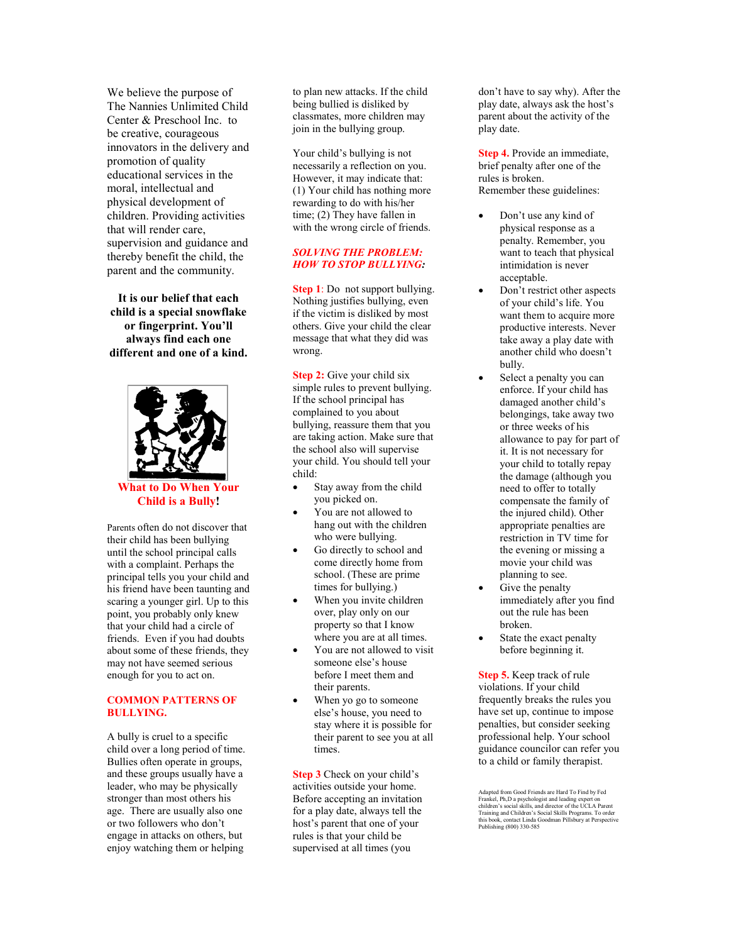We believe the purpose of The Nannies Unlimited Child Center & Preschool Inc. to be creative, courageous innovators in the delivery and promotion of quality educational services in the moral, intellectual and physical development of children. Providing activities that will render care, supervision and guidance and thereby benefit the child, the parent and the community.

It is our belief that each child is a special snowflake or fingerprint. You'll always find each one different and one of a kind.



What to Do When Your Child is a Bully!

Parents often do not discover that their child has been bullying until the school principal calls with a complaint. Perhaps the principal tells you your child and his friend have been taunting and scaring a younger girl. Up to this point, you probably only knew that your child had a circle of friends. Even if you had doubts about some of these friends, they may not have seemed serious enough for you to act on.

#### COMMON PATTERNS OF BULLYING.

A bully is cruel to a specific child over a long period of time. Bullies often operate in groups, and these groups usually have a leader, who may be physically stronger than most others his age. There are usually also one or two followers who don't engage in attacks on others, but enjoy watching them or helping

to plan new attacks. If the child being bullied is disliked by classmates, more children may join in the bullying group.

Your child's bullying is not necessarily a reflection on you. However, it may indicate that: (1) Your child has nothing more rewarding to do with his/her time; (2) They have fallen in with the wrong circle of friends.

#### SOLVING THE PROBLEM: HOW TO STOP BULLYING:

Step 1: Do not support bullying. Nothing justifies bullying, even if the victim is disliked by most others. Give your child the clear message that what they did was wrong.

Step 2: Give your child six simple rules to prevent bullying. If the school principal has complained to you about bullying, reassure them that you are taking action. Make sure that the school also will supervise your child. You should tell your child:

- Stay away from the child you picked on.
- You are not allowed to hang out with the children who were bullying.
- Go directly to school and come directly home from school. (These are prime times for bullying.)
- When you invite children over, play only on our property so that I know where you are at all times.
- You are not allowed to visit someone else's house before I meet them and their parents.
- When yo go to someone else's house, you need to stay where it is possible for their parent to see you at all times.

Step 3 Check on your child's activities outside your home. Before accepting an invitation for a play date, always tell the host's parent that one of your rules is that your child be supervised at all times (you

don't have to say why). After the play date, always ask the host's parent about the activity of the play date.

Step 4. Provide an immediate, brief penalty after one of the rules is broken. Remember these guidelines:

- Don't use any kind of physical response as a penalty. Remember, you want to teach that physical intimidation is never acceptable.
- Don't restrict other aspects of your child's life. You want them to acquire more productive interests. Never take away a play date with another child who doesn't bully.
- Select a penalty you can enforce. If your child has damaged another child's belongings, take away two or three weeks of his allowance to pay for part of it. It is not necessary for your child to totally repay the damage (although you need to offer to totally compensate the family of the injured child). Other appropriate penalties are restriction in TV time for the evening or missing a movie your child was planning to see.
- Give the penalty immediately after you find out the rule has been broken.
- State the exact penalty before beginning it.

Step 5. Keep track of rule violations. If your child frequently breaks the rules you have set up, continue to impose penalties, but consider seeking professional help. Your school guidance councilor can refer you to a child or family therapist.

Adapted from Good Friends are Hard To Find by Fed<br>Frankel, Ph,D a psychologist and leading expert on<br>children's social skills, and director of the UCLA Parent<br>Training and Children's Social Skills Programs. To order<br>this b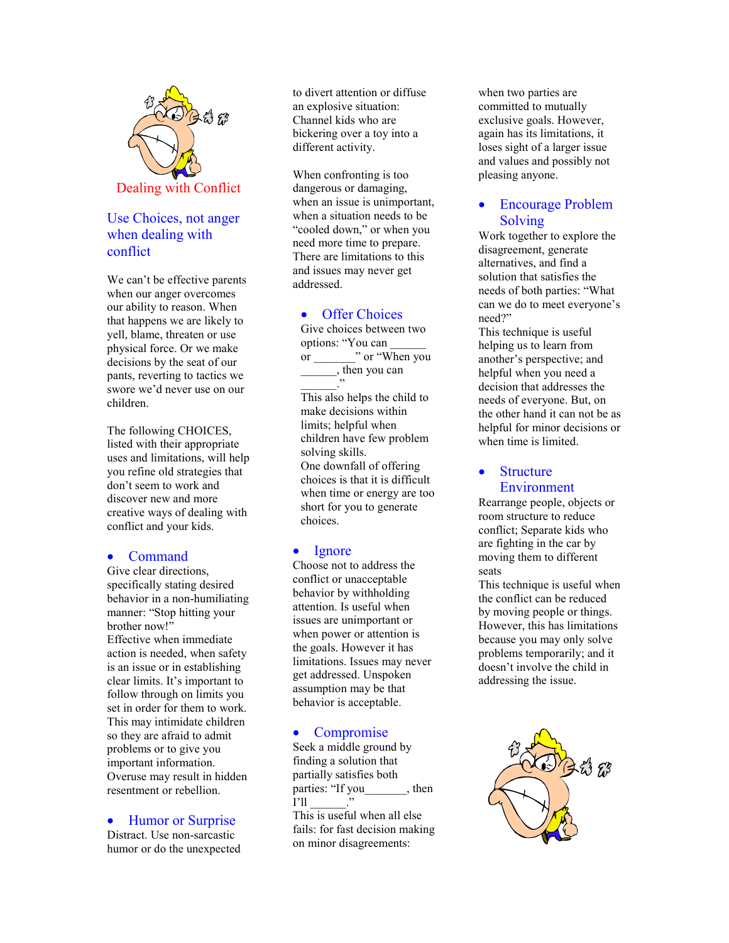

# Use Choices, not anger when dealing with conflict

We can't be effective parents when our anger overcomes our ability to reason. When that happens we are likely to yell, blame, threaten or use physical force. Or we make decisions by the seat of our pants, reverting to tactics we swore we'd never use on our children.

The following CHOICES, listed with their appropriate uses and limitations, will help you refine old strategies that don't seem to work and discover new and more creative ways of dealing with conflict and your kids.

### • Command

Give clear directions, specifically stating desired behavior in a non-humiliating manner: "Stop hitting your brother now!" Effective when immediate action is needed, when safety is an issue or in establishing clear limits. It's important to follow through on limits you set in order for them to work. This may intimidate children so they are afraid to admit problems or to give you important information. Overuse may result in hidden resentment or rebellion.

• Humor or Surprise

Distract. Use non-sarcastic humor or do the unexpected to divert attention or diffuse an explosive situation: Channel kids who are bickering over a toy into a different activity.

When confronting is too dangerous or damaging, when an issue is unimportant, when a situation needs to be "cooled down," or when you need more time to prepare. There are limitations to this and issues may never get addressed.

### • Offer Choices

Give choices between two options: "You can \_\_\_\_\_\_ or  $\cdots$  or "When you \_\_\_\_\_\_, then you can

\_\_\_\_\_\_." This also helps the child to make decisions within limits; helpful when children have few problem solving skills. One downfall of offering choices is that it is difficult when time or energy are too short for you to generate choices.

#### • Ignore

Choose not to address the conflict or unacceptable behavior by withholding attention. Is useful when issues are unimportant or when power or attention is the goals. However it has limitations. Issues may never get addressed. Unspoken assumption may be that behavior is acceptable.

#### • Compromise

Seek a middle ground by finding a solution that partially satisfies both parties: "If you hen  $I'$ ll This is useful when all else fails: for fast decision making on minor disagreements:

when two parties are committed to mutually exclusive goals. However, again has its limitations, it loses sight of a larger issue and values and possibly not pleasing anyone.

## • Encourage Problem Solving

Work together to explore the disagreement, generate alternatives, and find a solution that satisfies the needs of both parties: "What can we do to meet everyone's need?"

This technique is useful helping us to learn from another's perspective; and helpful when you need a decision that addresses the needs of everyone. But, on the other hand it can not be as helpful for minor decisions or when time is limited.

### • Structure Environment

Rearrange people, objects or room structure to reduce conflict; Separate kids who are fighting in the car by moving them to different seats

This technique is useful when the conflict can be reduced by moving people or things. However, this has limitations because you may only solve problems temporarily; and it doesn't involve the child in addressing the issue.

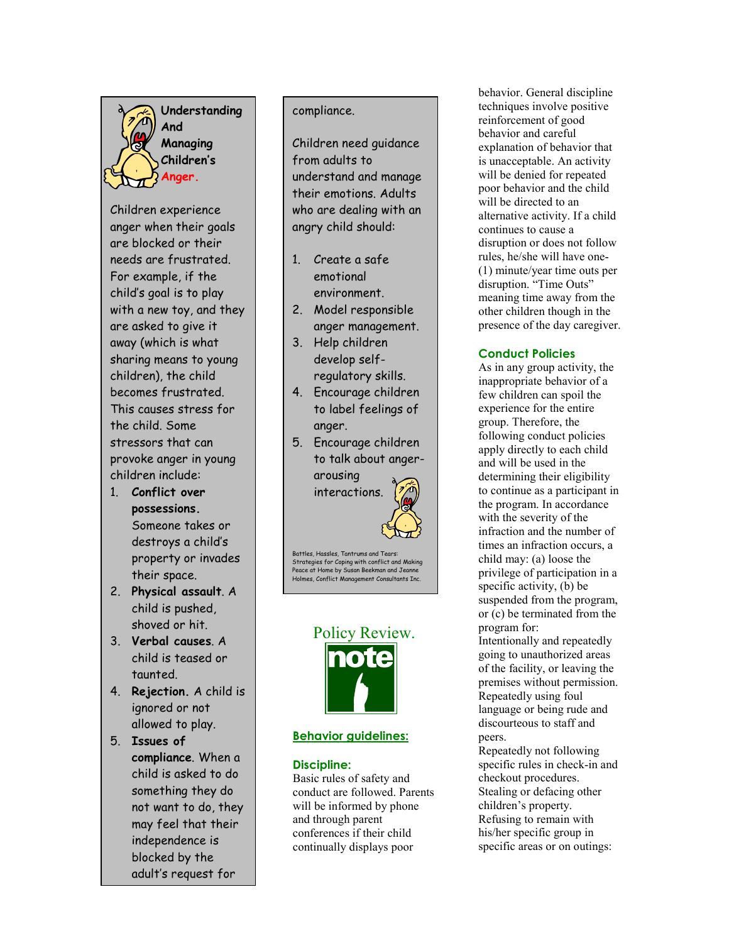Understanding And **Managing**  Children's Anger.

Children experience anger when their goals are blocked or their needs are frustrated. For example, if the child's goal is to play with a new toy, and they are asked to give it away (which is what sharing means to young children), the child becomes frustrated. This causes stress for the child. Some stressors that can provoke anger in young children include:

- 1. Conflict over possessions. Someone takes or destroys a child's property or invades their space.
- 2. Physical assault. A child is pushed, shoved or hit.
- 3. Verbal causes. A child is teased or taunted.
- 4. Rejection. A child is ignored or not allowed to play.
- 5. Issues of compliance. When a child is asked to do something they do not want to do, they may feel that their independence is blocked by the adult's request for

## compliance.

Children need guidance from adults to understand and manage their emotions. Adults who are dealing with an angry child should:

- 1. Create a safe emotional environment.
- 2. Model responsible anger management.
- 3. Help children develop selfregulatory skills.
- 4. Encourage children to label feelings of anger.
- 5. Encourage children to talk about angerarousing

interactions.

Battles, Hassles, Tantrums and Tears: Strategies for Coping with conflict and Making Peace at Home by Susan Beekman and Jeanne Holmes, Conflict Management Consultants Inc.



### Behavior guidelines:

#### Discipline:

Basic rules of safety and conduct are followed. Parents will be informed by phone and through parent conferences if their child continually displays poor

behavior. General discipline techniques involve positive reinforcement of good behavior and careful explanation of behavior that is unacceptable. An activity will be denied for repeated poor behavior and the child will be directed to an alternative activity. If a child continues to cause a disruption or does not follow rules, he/she will have one- (1) minute/year time outs per disruption. "Time Outs" meaning time away from the other children though in the presence of the day caregiver.

## Conduct Policies

As in any group activity, the inappropriate behavior of a few children can spoil the experience for the entire group. Therefore, the following conduct policies apply directly to each child and will be used in the determining their eligibility to continue as a participant in the program. In accordance with the severity of the infraction and the number of times an infraction occurs, a child may: (a) loose the privilege of participation in a specific activity, (b) be suspended from the program, or (c) be terminated from the program for: Intentionally and repeatedly going to unauthorized areas

of the facility, or leaving the premises without permission. Repeatedly using foul language or being rude and discourteous to staff and peers.

Repeatedly not following specific rules in check-in and checkout procedures. Stealing or defacing other children's property. Refusing to remain with his/her specific group in specific areas or on outings: